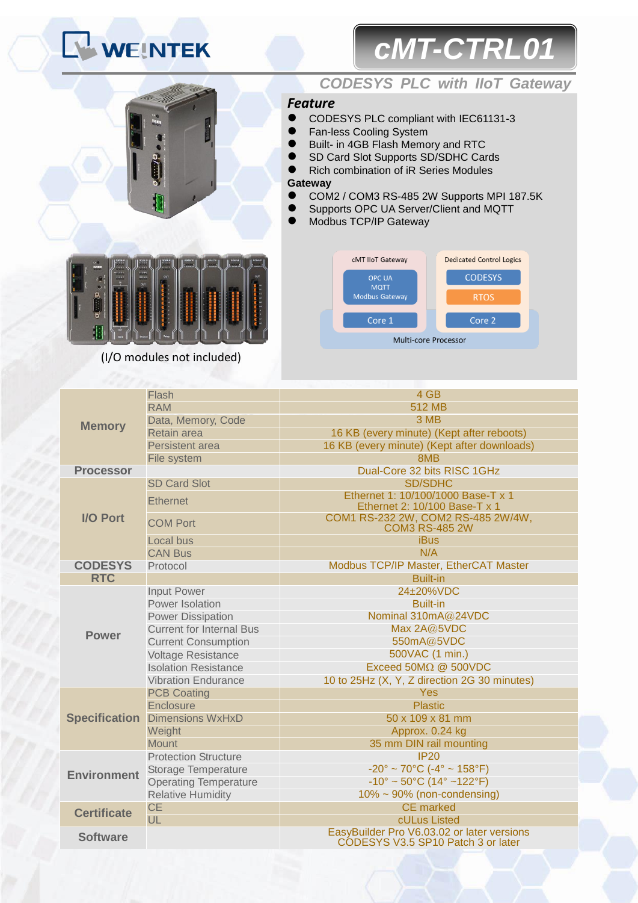# **WEINTEK**

# *cMT-CTRL01*



### *CODESYS PLC with IIoT Gateway*

### *Feature*

- CODESYS PLC compliant with IEC61131-3
- Fan-less Cooling System
	- Built- in 4GB Flash Memory and RTC
- SD Card Slot Supports SD/SDHC Cards
- Rich combination of iR Series Modules

#### **Gateway**

- COM2 / COM3 RS-485 2W Supports MPI 187.5K
- **Supports OPC UA Server/Client and MQTT**
- Modbus TCP/IP Gateway



| w<br>53.00                           | DM16-N<br>8888<br>$\Delta\Delta\Delta\Delta$<br>$-24.42$ | 0916-<br>0000<br>UUS<br>$1.1 - 1.1$ | <b>DOOS-</b><br><b>COUNTY</b><br>3335 | A MOR.V<br>733<br>VV Pue 200 SOL | <b>AS4-TR</b><br>m<br><b>THE ROAD WAY RISE</b> | A/04-V1<br><b>GONE</b><br>OF RAILTON BY | <b>AGO4-V</b><br><b>BAR MALES</b>         |
|--------------------------------------|----------------------------------------------------------|-------------------------------------|---------------------------------------|----------------------------------|------------------------------------------------|-----------------------------------------|-------------------------------------------|
| $\bullet$                            | 1317<br>۰<br>и                                           | 12121419<br>OUT<br>w                | OUT                                   |                                  |                                                |                                         | <b>OUT</b><br><b>DF</b><br><b>OF</b><br>м |
| ٠<br>٠<br>٠<br>٠<br>٠<br>٠<br>٠<br>ö |                                                          |                                     | $\blacksquare$                        |                                  |                                                |                                         | <b>GP</b><br>m<br>۰                       |
|                                      | $\frac{1}{\alpha \pi}$<br>šini.                          | <b>Tource</b>                       | $\overline{a}$<br>Rolay               |                                  |                                                |                                         | <b>SPP</b><br>ш                           |

(I/O modules not included)

|                      | Flash                           | 4 GB                                                                             |  |  |  |  |
|----------------------|---------------------------------|----------------------------------------------------------------------------------|--|--|--|--|
|                      | <b>RAM</b>                      | 512 MB                                                                           |  |  |  |  |
|                      | Data, Memory, Code              | 3 MB                                                                             |  |  |  |  |
| <b>Memory</b>        | Retain area                     | 16 KB (every minute) (Kept after reboots)                                        |  |  |  |  |
|                      | <b>Persistent area</b>          | 16 KB (every minute) (Kept after downloads)                                      |  |  |  |  |
|                      | File system                     | 8MB                                                                              |  |  |  |  |
| <b>Processor</b>     |                                 | Dual-Core 32 bits RISC 1GHz                                                      |  |  |  |  |
| <b>I/O Port</b>      | <b>SD Card Slot</b>             | <b>SD/SDHC</b>                                                                   |  |  |  |  |
|                      | <b>Ethernet</b>                 | Ethernet 1: 10/100/1000 Base-T x 1<br>Ethernet 2: 10/100 Base-T x 1              |  |  |  |  |
|                      | <b>COM Port</b>                 | COM1 RS-232 2W, COM2 RS-485 2W/4W,<br><b>COM3 RS-485 2W</b>                      |  |  |  |  |
|                      | Local bus                       | <b>iBus</b>                                                                      |  |  |  |  |
|                      | <b>CAN Bus</b>                  | N/A                                                                              |  |  |  |  |
| <b>CODESYS</b>       | Protocol                        | Modbus TCP/IP Master, EtherCAT Master                                            |  |  |  |  |
| <b>RTC</b>           |                                 | <b>Built-in</b>                                                                  |  |  |  |  |
|                      | <b>Input Power</b>              | 24±20%VDC                                                                        |  |  |  |  |
|                      | Power Isolation                 | <b>Built-in</b>                                                                  |  |  |  |  |
|                      | <b>Power Dissipation</b>        | Nominal 310mA@24VDC                                                              |  |  |  |  |
| <b>Power</b>         | <b>Current for Internal Bus</b> | Max 2A@5VDC                                                                      |  |  |  |  |
|                      | <b>Current Consumption</b>      | 550mA@5VDC                                                                       |  |  |  |  |
|                      | <b>Voltage Resistance</b>       | 500VAC (1 min.)                                                                  |  |  |  |  |
|                      | <b>Isolation Resistance</b>     | Exceed $50M\Omega$ @ 500VDC                                                      |  |  |  |  |
|                      | <b>Vibration Endurance</b>      | 10 to 25Hz (X, Y, Z direction 2G 30 minutes)                                     |  |  |  |  |
|                      | <b>PCB Coating</b>              | <b>Yes</b>                                                                       |  |  |  |  |
|                      | Enclosure                       | <b>Plastic</b>                                                                   |  |  |  |  |
| <b>Specification</b> | <b>Dimensions WxHxD</b>         | 50 x 109 x 81 mm                                                                 |  |  |  |  |
|                      | Weight                          | Approx. 0.24 kg                                                                  |  |  |  |  |
|                      | <b>Mount</b>                    | 35 mm DIN rail mounting                                                          |  |  |  |  |
| <b>Environment</b>   | <b>Protection Structure</b>     | IP20                                                                             |  |  |  |  |
|                      | Storage Temperature             | $-20^{\circ} \sim 70^{\circ}$ C ( $-4^{\circ} \sim 158^{\circ}$ F)               |  |  |  |  |
|                      | <b>Operating Temperature</b>    | $-10^{\circ} \sim 50^{\circ}$ C (14° ~122°F)                                     |  |  |  |  |
|                      | <b>Relative Humidity</b>        | $10\% \sim 90\%$ (non-condensing)                                                |  |  |  |  |
| <b>Certificate</b>   | <b>CE</b>                       | <b>CE</b> marked                                                                 |  |  |  |  |
|                      | UL                              | cULus Listed                                                                     |  |  |  |  |
| <b>Software</b>      |                                 | EasyBuilder Pro V6.03.02 or later versions<br>CODESYS V3.5 SP10 Patch 3 or later |  |  |  |  |